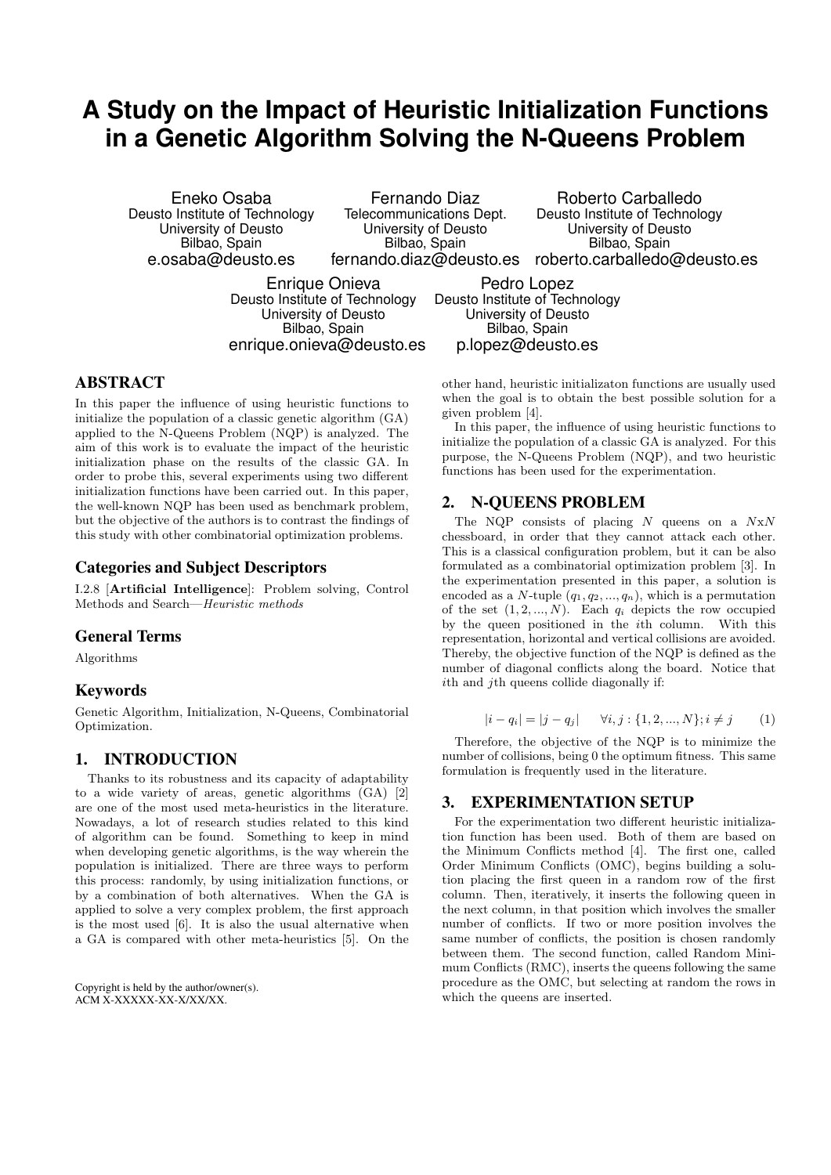# **A Study on the Impact of Heuristic Initialization Functions in a Genetic Algorithm Solving the N-Queens Problem**

Eneko Osaba Deusto Institute of Technology University of Deusto Bilbao, Spain e.osaba@deusto.es

Fernando Diaz Telecommunications Dept. University of Deusto Bilbao, Spain

fernando.diaz@deusto.es roberto.carballedo@deusto.es Roberto Carballedo Deusto Institute of Technology University of Deusto Bilbao, Spain

Enrique Onieva Deusto Institute of Technology University of Deusto Bilbao, Spain enrique.onieva@deusto.es

Pedro Lopez Deusto Institute of Technology University of Deusto Bilbao, Spain p.lopez@deusto.es

# ABSTRACT

In this paper the influence of using heuristic functions to initialize the population of a classic genetic algorithm (GA) applied to the N-Queens Problem (NQP) is analyzed. The aim of this work is to evaluate the impact of the heuristic initialization phase on the results of the classic GA. In order to probe this, several experiments using two different initialization functions have been carried out. In this paper, the well-known NQP has been used as benchmark problem, but the objective of the authors is to contrast the findings of this study with other combinatorial optimization problems.

## Categories and Subject Descriptors

I.2.8 [Artificial Intelligence]: Problem solving, Control Methods and Search—Heuristic methods

## General Terms

Algorithms

## Keywords

Genetic Algorithm, Initialization, N-Queens, Combinatorial Optimization.

# 1. INTRODUCTION

Thanks to its robustness and its capacity of adaptability to a wide variety of areas, genetic algorithms (GA) [2] are one of the most used meta-heuristics in the literature. Nowadays, a lot of research studies related to this kind of algorithm can be found. Something to keep in mind when developing genetic algorithms, is the way wherein the population is initialized. There are three ways to perform this process: randomly, by using initialization functions, or by a combination of both alternatives. When the GA is applied to solve a very complex problem, the first approach is the most used [6]. It is also the usual alternative when a GA is compared with other meta-heuristics [5]. On the

Copyright is held by the author/owner(s). ACM X-XXXXX-XX-X/XX/XX.

other hand, heuristic initializaton functions are usually used when the goal is to obtain the best possible solution for a given problem [4].

In this paper, the influence of using heuristic functions to initialize the population of a classic GA is analyzed. For this purpose, the N-Queens Problem (NQP), and two heuristic functions has been used for the experimentation.

## 2. N-QUEENS PROBLEM

The NQP consists of placing  $N$  queens on a  $NxN$ chessboard, in order that they cannot attack each other. This is a classical configuration problem, but it can be also formulated as a combinatorial optimization problem [3]. In the experimentation presented in this paper, a solution is encoded as a N-tuple  $(q_1, q_2, ..., q_n)$ , which is a permutation of the set  $(1, 2, ..., N)$ . Each  $q_i$  depicts the row occupied by the queen positioned in the ith column. With this representation, horizontal and vertical collisions are avoided. Thereby, the objective function of the NQP is defined as the number of diagonal conflicts along the board. Notice that  $i$ th and  $i$ th queens collide diagonally if:

$$
|i - q_i| = |j - q_j| \quad \forall i, j : \{1, 2, ..., N\}; i \neq j \quad (1)
$$

Therefore, the objective of the NQP is to minimize the number of collisions, being 0 the optimum fitness. This same formulation is frequently used in the literature.

#### 3. EXPERIMENTATION SETUP

For the experimentation two different heuristic initialization function has been used. Both of them are based on the Minimum Conflicts method [4]. The first one, called Order Minimum Conflicts (OMC), begins building a solution placing the first queen in a random row of the first column. Then, iteratively, it inserts the following queen in the next column, in that position which involves the smaller number of conflicts. If two or more position involves the same number of conflicts, the position is chosen randomly between them. The second function, called Random Minimum Conflicts (RMC), inserts the queens following the same procedure as the OMC, but selecting at random the rows in which the queens are inserted.